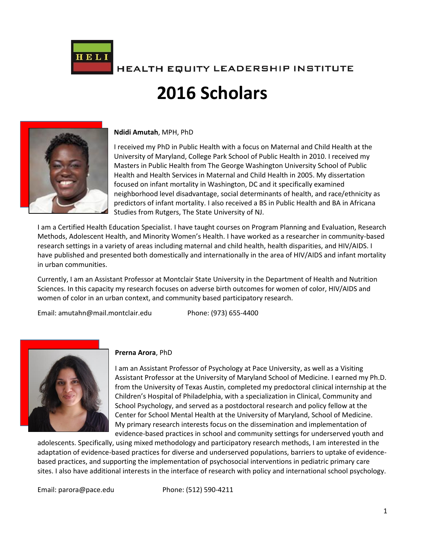

HEALTH EQUITY LEADERSHIP INSTITUTE

# **2016 Scholars**



#### **Ndidi Amutah**, MPH, PhD

I received my PhD in Public Health with a focus on Maternal and Child Health at the University of Maryland, College Park School of Public Health in 2010. I received my Masters in Public Health from The George Washington University School of Public Health and Health Services in Maternal and Child Health in 2005. My dissertation focused on infant mortality in Washington, DC and it specifically examined neighborhood level disadvantage, social determinants of health, and race/ethnicity as predictors of infant mortality. I also received a BS in Public Health and BA in Africana Studies from Rutgers, The State University of NJ.

I am a Certified Health Education Specialist. I have taught courses on Program Planning and Evaluation, Research Methods, Adolescent Health, and Minority Women's Health. I have worked as a researcher in community-based research settings in a variety of areas including maternal and child health, health disparities, and HIV/AIDS. I have published and presented both domestically and internationally in the area of HIV/AIDS and infant mortality in urban communities.

Currently, I am an Assistant Professor at Montclair State University in the Department of Health and Nutrition Sciences. In this capacity my research focuses on adverse birth outcomes for women of color, HIV/AIDS and women of color in an urban context, and community based participatory research.

Email: amutahn@mail.montclair.edu Phone: (973) 655-4400



#### **Prerna Arora**, PhD

I am an Assistant Professor of Psychology at Pace University, as well as a Visiting Assistant Professor at the University of Maryland School of Medicine. I earned my Ph.D. from the University of Texas Austin, completed my predoctoral clinical internship at the Children's Hospital of Philadelphia, with a specialization in Clinical, Community and School Psychology, and served as a postdoctoral research and policy fellow at the Center for School Mental Health at the University of Maryland, School of Medicine. My primary research interests focus on the dissemination and implementation of evidence-based practices in school and community settings for underserved youth and

adolescents. Specifically, using mixed methodology and participatory research methods, I am interested in the adaptation of evidence-based practices for diverse and underserved populations, barriers to uptake of evidencebased practices, and supporting the implementation of psychosocial interventions in pediatric primary care sites. I also have additional interests in the interface of research with policy and international school psychology.

Email: parora@pace.edu Phone: (512) 590-4211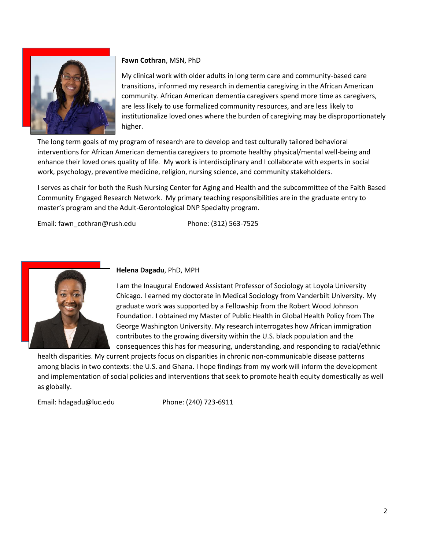

#### **Fawn Cothran**, MSN, PhD

My clinical work with older adults in long term care and community-based care transitions, informed my research in dementia caregiving in the African American community. African American dementia caregivers spend more time as caregivers, are less likely to use formalized community resources, and are less likely to institutionalize loved ones where the burden of caregiving may be disproportionately higher.

The long term goals of my program of research are to develop and test culturally tailored behavioral interventions for African American dementia caregivers to promote healthy physical/mental well-being and enhance their loved ones quality of life. My work is interdisciplinary and I collaborate with experts in social work, psychology, preventive medicine, religion, nursing science, and community stakeholders.

I serves as chair for both the Rush Nursing Center for Aging and Health and the subcommittee of the Faith Based Community Engaged Research Network. My primary teaching responsibilities are in the graduate entry to master's program and the Adult-Gerontological DNP Specialty program.

Email: [fawn\\_cothran@rush.edu](mailto:fawn_cothran@rush.edu) Phone: (312) 563-7525



#### **Helena Dagadu**, PhD, MPH

I am the Inaugural Endowed Assistant Professor of Sociology at Loyola University Chicago. I earned my doctorate in Medical Sociology from Vanderbilt University. My graduate work was supported by a Fellowship from the Robert Wood Johnson Foundation. I obtained my Master of Public Health in Global Health Policy from The George Washington University. My research interrogates how African immigration contributes to the growing diversity within the U.S. black population and the consequences this has for measuring, understanding, and responding to racial/ethnic

health disparities. My current projects focus on disparities in chronic non-communicable disease patterns among blacks in two contexts: the U.S. and Ghana. I hope findings from my work will inform the development and implementation of social policies and interventions that seek to promote health equity domestically as well as globally.

Email: [hdagadu@luc.edu](mailto:hdagadu@luc.edu) Phone: (240) 723-6911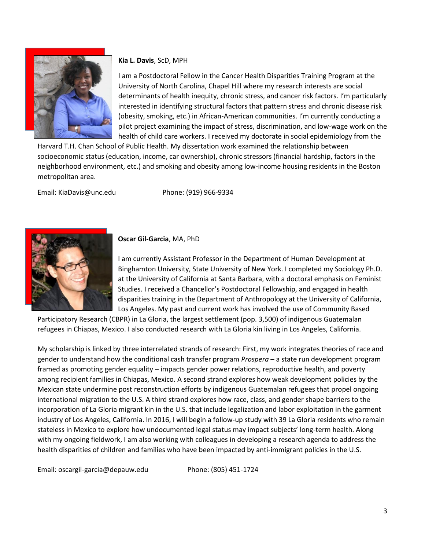

#### **Kia L. Davis**, ScD, MPH

I am a Postdoctoral Fellow in the Cancer Health Disparities Training Program at the University of North Carolina, Chapel Hill where my research interests are social determinants of health inequity, chronic stress, and cancer risk factors. I'm particularly interested in identifying structural factors that pattern stress and chronic disease risk (obesity, smoking, etc.) in African-American communities. I'm currently conducting a pilot project examining the impact of stress, discrimination, and low-wage work on the health of child care workers. I received my doctorate in social epidemiology from the

Harvard T.H. Chan School of Public Health. My dissertation work examined the relationship between socioeconomic status (education, income, car ownership), chronic stressors (financial hardship, factors in the neighborhood environment, etc.) and smoking and obesity among low-income housing residents in the Boston metropolitan area.

Email: [KiaDavis@unc.edu](mailto:KiaDavis@unc.edu) Phone: (919) 966-9334



## **Oscar Gil-Garcia**, MA, PhD

I am currently Assistant Professor in the Department of Human Development at Binghamton University, State University of New York. I completed my Sociology Ph.D. at the University of California at Santa Barbara, with a doctoral emphasis on Feminist Studies. I received a Chancellor's Postdoctoral Fellowship, and engaged in health disparities training in the Department of Anthropology at the University of California, Los Angeles. My past and current work has involved the use of Community Based

Participatory Research (CBPR) in La Gloria, the largest settlement (pop. 3,500) of indigenous Guatemalan refugees in Chiapas, Mexico. I also conducted research with La Gloria kin living in Los Angeles, California.

My scholarship is linked by three interrelated strands of research: First, my work integrates theories of race and gender to understand how the conditional cash transfer program *Prospera* – a state run development program framed as promoting gender equality – impacts gender power relations, reproductive health, and poverty among recipient families in Chiapas, Mexico. A second strand explores how weak development policies by the Mexican state undermine post reconstruction efforts by indigenous Guatemalan refugees that propel ongoing international migration to the U.S. A third strand explores how race, class, and gender shape barriers to the incorporation of La Gloria migrant kin in the U.S. that include legalization and labor exploitation in the garment industry of Los Angeles, California. In 2016, I will begin a follow-up study with 39 La Gloria residents who remain stateless in Mexico to explore how undocumented legal status may impact subjects' long-term health. Along with my ongoing fieldwork, I am also working with colleagues in developing a research agenda to address the health disparities of children and families who have been impacted by anti-immigrant policies in the U.S.

Email: [oscargil-garcia@depauw.edu](mailto:oscargil-garcia@depauw.edu) Phone: (805) 451-1724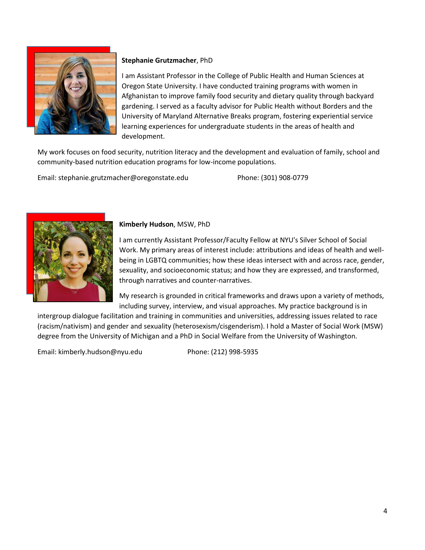

# **Stephanie Grutzmacher**, PhD

I am Assistant Professor in the College of Public Health and Human Sciences at Oregon State University. I have conducted training programs with women in Afghanistan to improve family food security and dietary quality through backyard gardening. I served as a faculty advisor for Public Health without Borders and the University of Maryland Alternative Breaks program, fostering experiential service learning experiences for undergraduate students in the areas of health and development.

My work focuses on food security, nutrition literacy and the development and evaluation of family, school and community-based nutrition education programs for low-income populations.

Email: [stephanie.grutzmacher@oregonstate.edu](mailto:stephanie.grutzmacher@oregonstate.edu) Phone: (301) 908-0779



## **Kimberly Hudson**, MSW, PhD

I am currently Assistant Professor/Faculty Fellow at NYU's Silver School of Social Work. My primary areas of interest include: attributions and ideas of health and wellbeing in LGBTQ communities; how these ideas intersect with and across race, gender, sexuality, and socioeconomic status; and how they are expressed, and transformed, through narratives and counter-narratives.

My research is grounded in critical frameworks and draws upon a variety of methods, including survey, interview, and visual approaches. My practice background is in

intergroup dialogue facilitation and training in communities and universities, addressing issues related to race (racism/nativism) and gender and sexuality (heterosexism/cisgenderism). I hold a Master of Social Work (MSW) degree from the University of Michigan and a PhD in Social Welfare from the University of Washington.

Email: [kimberly.hudson@nyu.edu](mailto:kimberly.hudson@nyu.edu) Phone: (212) 998-5935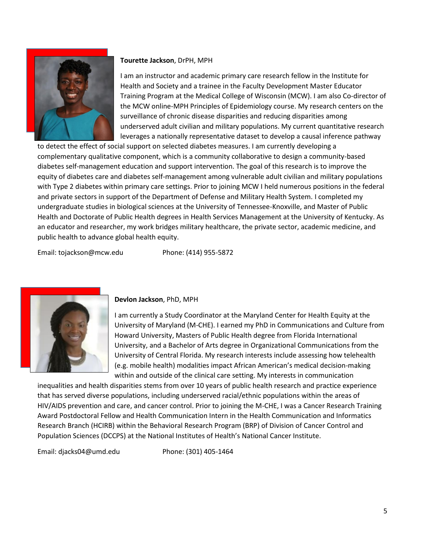

#### **Tourette Jackson**, DrPH, MPH

I am an instructor and academic primary care research fellow in the Institute for Health and Society and a trainee in the Faculty Development Master Educator Training Program at the Medical College of Wisconsin (MCW). I am also Co-director of the MCW online-MPH Principles of Epidemiology course. My research centers on the surveillance of chronic disease disparities and reducing disparities among underserved adult civilian and military populations. My current quantitative research leverages a nationally representative dataset to develop a causal inference pathway

to detect the effect of social support on selected diabetes measures. I am currently developing a complementary qualitative component, which is a community collaborative to design a community-based diabetes self-management education and support intervention. The goal of this research is to improve the equity of diabetes care and diabetes self-management among vulnerable adult civilian and military populations with Type 2 diabetes within primary care settings. Prior to joining MCW I held numerous positions in the federal and private sectors in support of the Department of Defense and Military Health System. I completed my undergraduate studies in biological sciences at the University of Tennessee-Knoxville, and Master of Public Health and Doctorate of Public Health degrees in Health Services Management at the University of Kentucky. As an educator and researcher, my work bridges military healthcare, the private sector, academic medicine, and public health to advance global health equity.

Email: [tojackson@mcw.edu](mailto:tojackson@mcw.edu) Phone: (414) 955-5872



## **Devlon Jackson**, PhD, MPH

I am currently a Study Coordinator at the Maryland Center for Health Equity at the University of Maryland (M-CHE). I earned my PhD in Communications and Culture from Howard University, Masters of Public Health degree from Florida International University, and a Bachelor of Arts degree in Organizational Communications from the University of Central Florida. My research interests include assessing how telehealth (e.g. mobile health) modalities impact African American's medical decision-making within and outside of the clinical care setting. My interests in communication

inequalities and health disparities stems from over 10 years of public health research and practice experience that has served diverse populations, including underserved racial/ethnic populations within the areas of HIV/AIDS prevention and care, and cancer control. Prior to joining the M-CHE, I was a Cancer Research Training Award Postdoctoral Fellow and Health Communication Intern in the Health Communication and Informatics Research Branch (HCIRB) within the Behavioral Research Program (BRP) of Division of Cancer Control and Population Sciences (DCCPS) at the National Institutes of Health's National Cancer Institute.

Email: [djacks04@umd.edu](mailto:djacks04@umd.edu) Phone: (301) 405-1464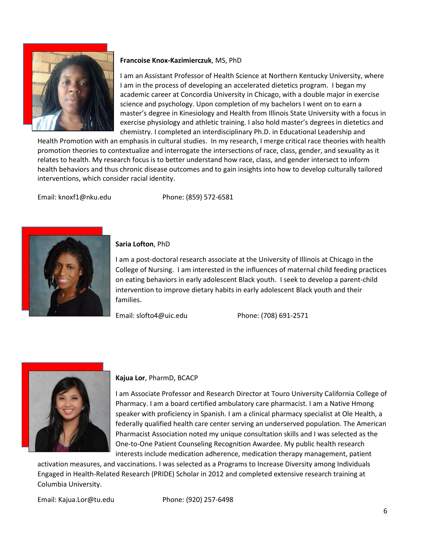

## **Francoise Knox-Kazimierczuk**, MS, PhD

I am an Assistant Professor of Health Science at Northern Kentucky University, where I am in the process of developing an accelerated dietetics program. I began my academic career at Concordia University in Chicago, with a double major in exercise science and psychology. Upon completion of my bachelors I went on to earn a master's degree in Kinesiology and Health from Illinois State University with a focus in exercise physiology and athletic training. I also hold master's degrees in dietetics and chemistry. I completed an interdisciplinary Ph.D. in Educational Leadership and

Health Promotion with an emphasis in cultural studies. In my research, I merge critical race theories with health promotion theories to contextualize and interrogate the intersections of race, class, gender, and sexuality as it relates to health. My research focus is to better understand how race, class, and gender intersect to inform health behaviors and thus chronic disease outcomes and to gain insights into how to develop culturally tailored interventions, which consider racial identity.

Email: [knoxf1@nku.edu](mailto:knoxf1@nku.edu) Phone: (859) 572-6581



## **Saria Lofton**, PhD

I am a post-doctoral research associate at the University of Illinois at Chicago in the College of Nursing. I am interested in the influences of maternal child feeding practices on eating behaviors in early adolescent Black youth. I seek to develop a parent-child intervention to improve dietary habits in early adolescent Black youth and their families.

Email[: slofto4@uic.edu](mailto:slofto4@uic.edu) Phone: (708) 691-2571



## **Kajua Lor**, PharmD, BCACP

I am Associate Professor and Research Director at Touro University California College of Pharmacy. I am a board certified ambulatory care pharmacist. I am a Native Hmong speaker with proficiency in Spanish. I am a clinical pharmacy specialist at Ole Health, a federally qualified health care center serving an underserved population. The American Pharmacist Association noted my unique consultation skills and I was selected as the One-to-One Patient Counseling Recognition Awardee. My public health research interests include medication adherence, medication therapy management, patient

activation measures, and vaccinations. I was selected as a Programs to Increase Diversity among Individuals Engaged in Health-Related Research (PRIDE) Scholar in 2012 and completed extensive research training at Columbia University.

Email: [Kajua.Lor@tu.edu](mailto:Kajua.Lor@tu.edu) Phone: (920) 257-6498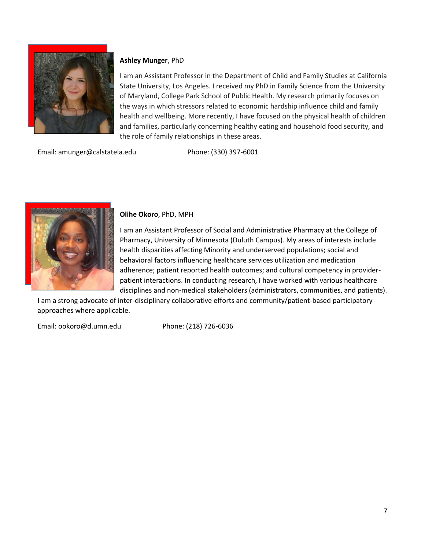

# **Ashley Munger**, PhD

I am an Assistant Professor in the Department of Child and Family Studies at California State University, Los Angeles. I received my PhD in Family Science from the University of Maryland, College Park School of Public Health. My research primarily focuses on the ways in which stressors related to economic hardship influence child and family health and wellbeing. More recently, I have focused on the physical health of children and families, particularly concerning healthy eating and household food security, and the role of family relationships in these areas.

Email: [amunger@calstatela.edu](mailto:amunger@calstatela.edu) Phone: (330) 397-6001



## **Olihe Okoro**, PhD, MPH

I am an Assistant Professor of Social and Administrative Pharmacy at the College of Pharmacy, University of Minnesota (Duluth Campus). My areas of interests include health disparities affecting Minority and underserved populations; social and behavioral factors influencing healthcare services utilization and medication adherence; patient reported health outcomes; and cultural competency in providerpatient interactions. In conducting research, I have worked with various healthcare disciplines and non-medical stakeholders (administrators, communities, and patients).

I am a strong advocate of inter-disciplinary collaborative efforts and community/patient-based participatory approaches where applicable.

Email: [ookoro@d.umn.edu](mailto:ookoro@d.umn.edu) Phone: (218) 726-6036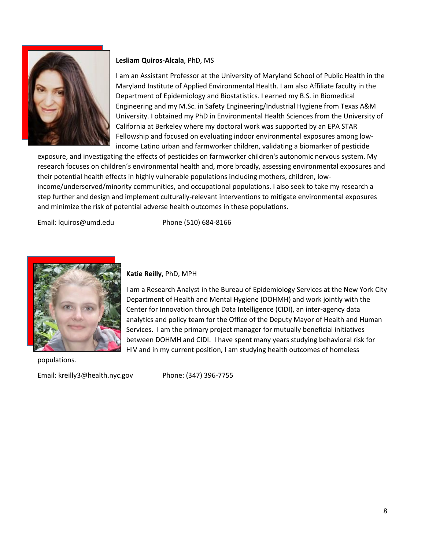

#### **Lesliam Quiros-Alcala**, PhD, MS

I am an Assistant Professor at the University of Maryland School of Public Health in the Maryland Institute of Applied Environmental Health. I am also Affiliate faculty in the Department of Epidemiology and Biostatistics. I earned my B.S. in Biomedical Engineering and my M.Sc. in Safety Engineering/Industrial Hygiene from Texas A&M University. I obtained my PhD in Environmental Health Sciences from the University of California at Berkeley where my doctoral work was supported by an EPA STAR Fellowship and focused on evaluating indoor environmental exposures among lowincome Latino urban and farmworker children, validating a biomarker of pesticide

exposure, and investigating the effects of pesticides on farmworker children's autonomic nervous system. My research focuses on children's environmental health and, more broadly, assessing environmental exposures and their potential health effects in highly vulnerable populations including mothers, children, lowincome/underserved/minority communities, and occupational populations. I also seek to take my research a step further and design and implement culturally-relevant interventions to mitigate environmental exposures and minimize the risk of potential adverse health outcomes in these populations.

Email: [lquiros@umd.edu](mailto:lquiros@umd.edu) Phone (510) 684-8166



populations.

Email: [kreilly3@health.nyc.gov](mailto:kreilly3@health.nyc.gov) Phone: (347) 396-7755

**Katie Reilly**, PhD, MPH

I am a Research Analyst in the Bureau of Epidemiology Services at the New York City Department of Health and Mental Hygiene (DOHMH) and work jointly with the Center for Innovation through Data Intelligence (CIDI), an inter-agency data analytics and policy team for the Office of the Deputy Mayor of Health and Human Services. I am the primary project manager for mutually beneficial initiatives between DOHMH and CIDI. I have spent many years studying behavioral risk for HIV and in my current position, I am studying health outcomes of homeless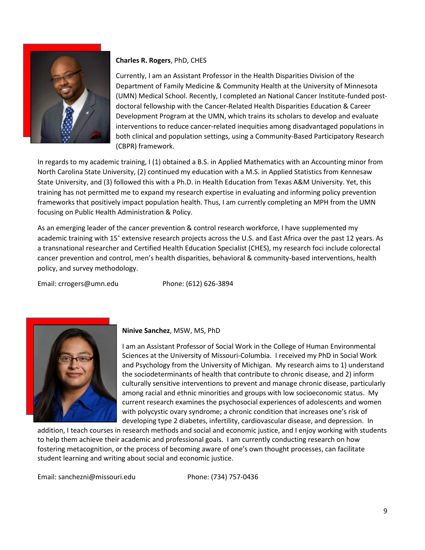

# **Charles R. Rogers**, PhD, CHES

Currently, I am an Assistant Professor in the Health Disparities Division of the Department of Family Medicine & Community Health at the University of Minnesota (UMN) Medical School. Recently, I completed an National Cancer Institute-funded postdoctoral fellowship with the Cancer-Related Health Disparities Education & Career Development Program at the UMN, which trains its scholars to develop and evaluate interventions to reduce cancer-related inequities among disadvantaged populations in both clinical and population settings, using a Community-Based Participatory Research (CBPR) framework.

In regards to my academic training, I (1) obtained a B.S. in Applied Mathematics with an Accounting minor from North Carolina State University, (2) continued my education with a M.S. in Applied Statistics from Kennesaw State University, and (3) followed this with a Ph.D. in Health Education from Texas A&M University. Yet, this training has not permitted me to expand my research expertise in evaluating and informing policy prevention frameworks that positively impact population health. Thus, I am currently completing an MPH from the UMN focusing on Public Health Administration & Policy.

As an emerging leader of the cancer prevention & control research workforce, I have supplemented my academic training with 15<sup>+</sup> extensive research projects across the U.S. and East Africa over the past 12 years. As a transnational researcher and Certified Health Education Specialist (CHES), my research foci include colorectal cancer prevention and control, men's health disparities, behavioral & community-based interventions, health policy, and survey methodology.

Email: [crrogers@umn.edu](mailto:crrogers@umn.edu) Phone: (612) 626-3894



## **Ninive Sanchez**, MSW, MS, PhD

I am an Assistant Professor of Social Work in the College of Human Environmental Sciences at the University of Missouri-Columbia. I received my PhD in Social Work and Psychology from the University of Michigan. My research aims to 1) understand the sociodeterminants of health that contribute to chronic disease, and 2) inform culturally sensitive interventions to prevent and manage chronic disease, particularly among racial and ethnic minorities and groups with low socioeconomic status. My current research examines the psychosocial experiences of adolescents and women with polycystic ovary syndrome; a chronic condition that increases one's risk of developing type 2 diabetes, infertility, cardiovascular disease, and depression. In

addition, I teach courses in research methods and social and economic justice, and I enjoy working with students to help them achieve their academic and professional goals. I am currently conducting research on how fostering metacognition, or the process of becoming aware of one's own thought processes, can facilitate student learning and writing about social and economic justice.

Email: [sanchezni@missouri.edu](mailto:sanchezni@missouri.edu) Phone: (734) 757-0436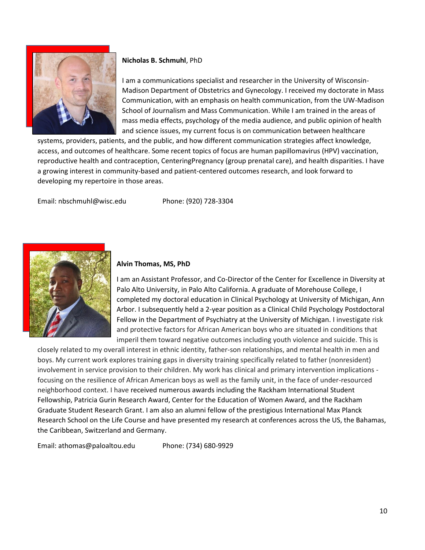

#### **Nicholas B. Schmuhl**, PhD

I am a communications specialist and researcher in the University of Wisconsin-Madison Department of Obstetrics and Gynecology. I received my doctorate in Mass Communication, with an emphasis on health communication, from the UW-Madison School of Journalism and Mass Communication. While I am trained in the areas of mass media effects, psychology of the media audience, and public opinion of health and science issues, my current focus is on communication between healthcare

systems, providers, patients, and the public, and how different communication strategies affect knowledge, access, and outcomes of healthcare. Some recent topics of focus are human papillomavirus (HPV) vaccination, reproductive health and contraception, CenteringPregnancy (group prenatal care), and health disparities. I have a growing interest in community-based and patient-centered outcomes research, and look forward to developing my repertoire in those areas.

Email: [nbschmuhl@wisc.edu](mailto:nbschmuhl@wisc.edu) Phone: (920) 728-3304



#### **Alvin Thomas, MS, PhD**

I am an Assistant Professor, and Co-Director of the Center for Excellence in Diversity at Palo Alto University, in Palo Alto California. A graduate of Morehouse College, I completed my doctoral education in Clinical Psychology at University of Michigan, Ann Arbor. I subsequently held a 2-year position as a Clinical Child Psychology Postdoctoral Fellow in the Department of Psychiatry at the University of Michigan. I investigate risk and protective factors for African American boys who are situated in conditions that imperil them toward negative outcomes including youth violence and suicide. This is

closely related to my overall interest in ethnic identity, father-son relationships, and mental health in men and boys. My current work explores training gaps in diversity training specifically related to father (nonresident) involvement in service provision to their children. My work has clinical and primary intervention implications focusing on the resilience of African American boys as well as the family unit, in the face of under-resourced neighborhood context. I have received numerous awards including the Rackham International Student Fellowship, Patricia Gurin Research Award, Center for the Education of Women Award, and the Rackham Graduate Student Research Grant. I am also an alumni fellow of the prestigious International Max Planck Research School on the Life Course and have presented my research at conferences across the US, the Bahamas, the Caribbean, Switzerland and Germany.

Email: [athomas@paloaltou.edu](mailto:athomas@paloaltou.edu) Phone: (734) 680-9929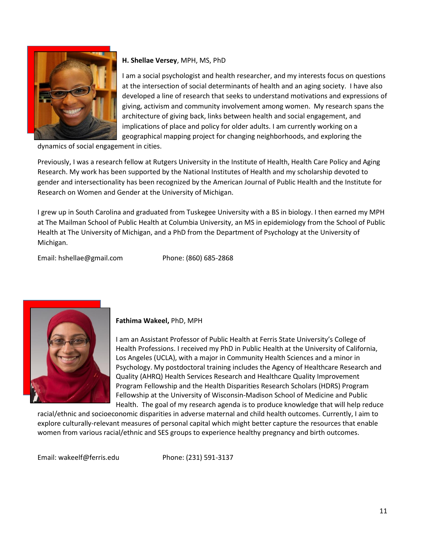

# **H. Shellae Versey**, MPH, MS, PhD

I am a social psychologist and health researcher, and my interests focus on questions at the intersection of social determinants of health and an aging society. I have also developed a line of research that seeks to understand motivations and expressions of giving, activism and community involvement among women. My research spans the architecture of giving back, links between health and social engagement, and implications of place and policy for older adults. I am currently working on a geographical mapping project for changing neighborhoods, and exploring the

dynamics of social engagement in cities.

Previously, I was a research fellow at Rutgers University in the Institute of Health, Health Care Policy and Aging Research. My work has been supported by the National Institutes of Health and my scholarship devoted to gender and intersectionality has been recognized by the American Journal of Public Health and the Institute for Research on Women and Gender at the University of Michigan.

I grew up in South Carolina and graduated from Tuskegee University with a BS in biology. I then earned my MPH at The Mailman School of Public Health at Columbia University, an MS in epidemiology from the School of Public Health at The University of Michigan, and a PhD from the Department of Psychology at the University of Michigan.

Email: [hshellae@gmail.com](mailto:hshellae@gmail.com) Phone: (860) 685-2868



## **Fathima Wakeel,** PhD, MPH

I am an Assistant Professor of Public Health at Ferris State University's College of Health Professions. I received my PhD in Public Health at the University of California, Los Angeles (UCLA), with a major in Community Health Sciences and a minor in Psychology. My postdoctoral training includes the Agency of Healthcare Research and Quality (AHRQ) Health Services Research and Healthcare Quality Improvement Program Fellowship and the Health Disparities Research Scholars (HDRS) Program Fellowship at the University of Wisconsin-Madison School of Medicine and Public Health. The goal of my research agenda is to produce knowledge that will help reduce

racial/ethnic and socioeconomic disparities in adverse maternal and child health outcomes. Currently, I aim to explore culturally-relevant measures of personal capital which might better capture the resources that enable women from various racial/ethnic and SES groups to experience healthy pregnancy and birth outcomes.

Email: [wakeelf@ferris.edu](mailto:wakeelf@ferris.edu) Phone: (231) 591-3137